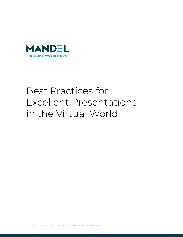

# Best Practices for Excellent Presentations in the Virtual World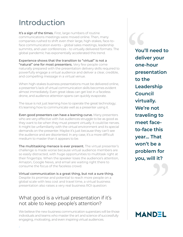## Introduction

It's a sign of the times. First, large numbers of routine communications meetings were moved online. Then, many companies rushed to shift even their large, high-stakes, face-toface communication events – global sales meetings, leadership summits, and user conferences – to virtually delivered formats. The global pandemic has exponentially accelerated this trend.

Experience shows that the transition to "virtual" is not a "natural" one for most presenters. Very few people come naturally prepared with the presentation delivery skills required to powerfully engage a virtual audience and deliver a clear, credible, and compelling message in a virtual venue.

When high-stakes business presentations must be delivered online, a presenter's lack of virtual communication skills becomes evident almost immediately. Even great ideas can get lost in a faceless drone, and audience attention spans can quickly evaporate.

The issue is not just learning how to operate the great technology; it's learning how to communicate well as a presenter using it.

Even good presenters can have a learning curve. Many presenters who are very effective with live audiences struggle to be as good as they want to be when they must present virtually. It could be nerves. It might be unfamiliarity with the virtual environment and its special demands on the presenter. Maybe it's just because they can't see the audience and are disoriented. In any case, it's a more difficult medium to master than it appears to be.

The multitasking menace is ever present. The virtual presenter's challenge is made worse because virtual audience members are so easily distracted, with huge opportunities to multitask right at their fingertips. When the speaker loses the audience's attention, Amazon, Google News, and email are waiting right there to consume the focus of the faceless crowd.

Virtual communication is a great thing, but not a sure thing. Despite its promise and potential to reach more people on a global scale with less cost and travel time, a virtual business presentation also raises a very real business ROI question:

#### What good is a virtual presentation if it's not able to keep people's attention?

We believe the new business communication superstars will be those individuals and teams who master the art and science of successfully engaging, motivating, and even inspiring virtual audiences.

**You'll need to deliver your one-hour presentation to the Leadership Council virtually. We're not traveling to meet faceto-face this year… That won't be a problem for you, will it?** e a<br>n for<br>| it?<br>| D You'<br>deli'<br>one<br>pres

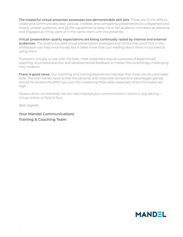The masterful virtual presenter possesses two demonstrable skill sets. These are (1) the skills to create and communicate clear, concise, credible, and compelling presentations to a dispersed and mostly unseen audience, and (2) the capabilities to keep his or her audience members as attentive and engaged as if they were all in the same room with the presenter.

Virtual presentation quality expectations are being continually raised by internal and external audiences. The quality-focused virtual presentation strategies and tactics that you'll find in this whitepaper can help enormously, but it takes more than just reading about them to succeed at using them.

To present virtually on par with the best, most presenters require a process of experienced coaching, structured practice, and developmental feedback to master this surprisingly challenging new medium.

**There is good news.** Our coaching and training experience indicates that these are very learnable skills. The even better news is that the personal and corporate competitive advantages gained should far exceed the effort you put into mastering these skills, especially when the stakes are high.

Please call on us whenever we can help improve your communication results in any setting virtual, online, or face to face.

Best regards,

**Your Mandel Communications Training & Coaching Team**

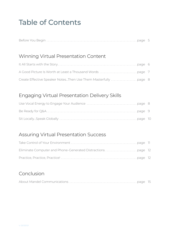### Table of Contents

|--|--|

#### [Winning Virtual Presentation Content](#page-5-0)

| Create Effective Speaker NotesThen Use Them Masterfully page 8 |  |
|----------------------------------------------------------------|--|

#### [Engaging Virtual Presentation Delivery Skills](#page-8-0)

#### [Assuring Virtual Presentation Success](#page-10-0)

#### [Conclusion](#page-13-0)

|--|--|--|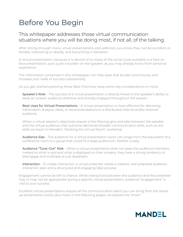## <span id="page-4-0"></span>Before You Begin

#### This whitepaper addresses those virtual communication situations where you will be doing most, if not all, of the talking.

After sitting through many virtual presentations and webinars, you know they can be excellent or terrible, interesting or deadly, and everything in between.

A virtual presentation, because it is devoid of so many of the social clues available in a face-toface presentation, puts quite a burden on the speaker, as you may already know from personal experience.

The information contained in this whitepaper can help ease that burden enormously and increase your odds of success substantially.

As you get started exploring these Best Practices, keep some key considerations in mind:

- Speaker's Role The success of a virtual presentation is directly linked to the speaker's ability to keep an unseen audience attentive and actively engaged throughout the session.
- Best Uses for Virtual Presentations A virtual presentation is most effective for delivering information, analysis, ideas, or recommendations to a distributed internal and/or external audience.

When a virtual session's objectives require a free-flowing give and take between the speaker and the virtual audience, that outcome demands broader communication skills, such as the skills we teach in Mandel's "Working the Virtual Room" workshop.

- Audience Size The audience for a virtual presentation event can range from the equivalent of a conference room to a group that could fill a large auditorium. Neither is easy.
- Audience "Tune-Out" Risk When a virtual presentation does not keep the audience members riveted on what is said and what is displayed on their screens, they have a strong tendency to disengage and multitask or just daydream.
- $\cdot$  Interaction To create interaction, a virtual presenter needs a creative, well-prepared audience interaction plan and a structured and engaging Q&A process.

Engagement cannot be left to chance. While interactions between the audience and the presenter may or may not be appropriate during a specific virtual presentation, audience "engagement" is vital to your success.

Excellent virtual presentations require all the communication talent you can bring from the standup presentation world, plus more. In the following pages, we explore the "more."

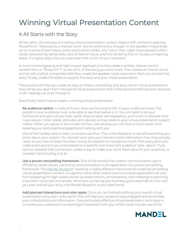## <span id="page-5-0"></span>Winning Virtual Presentation Content

### It All Starts with the Story

All too often, the process of creating virtual presentation content begins with someone opening PowerPoint®, followed by a mental mind- dump where every thought in the speaker's head ends up on a series of text-heavy, bullet-point-driven slides. Any "story" that might have existed is often totally obscured by dense data, lack of listener focus, and the rambling flow of visually uninspiring slides. It's highly likely that you have been the victim of such creations.

A much more engaging and high-impact approach is to first create a written, listener-centric content flow, or "Blueprint"™ as we call it, of the story you want to tell. Then, based on that structure and its well-crafted, comprehensible flow, create the speaker notes required to flesh out and tell that story. Finally, create the slides to support the story and your virtual presentation.

This process will help you create an easy-to-follow, compelling, and story-driven virtual presentation that will set you apart from the typical virtual presentation that invites (and sometimes even requires) multi- tasking just to sit through it.

Specifically, here's how to create a winning virtual presentation

• Be audience centric. It really isn't your story you're trying to tell; it's your audience's story. The people in your audience must to be able to see themselves in it. You will need to do your homework and get to know their world. Beyond basic demographics, you'll want to discover their "care-abouts" (their needs, attitudes, and desires) as they relate to your virtual presentation subject matter. When you speak in the context of their care-abouts, you will have a much easier time keeping your participants engaged and tracking with you.

One of the hardest skills to learn is content sacrifice. That is the discipline to not tell everything you know about your subject. You should never give your listeners more information than they actually need, so you have to resist the often strong temptation to include too much. Pick every point you make and every fact you share based on a specific and important audience "care- about." If you cannot verbalize that connection, create a way to make your point have value for your audience, or consider not including it at all.

- Use a proven storytelling framework. One of the secrets that master communicators use to efficiently create results- achieving communications is the application of a proven storytelling framework. The [Mandel Blueprint®](https://www.mandel.com/why-mandel/mandel-blueprint-communication-tools) excels as a highly effective framework for creating compelling virtual presentation content. It supports many other critical communication applications as well, from preparing for high-stakes stand-up presentations, conversations, and meetings to planning important voicemails and emails. Whenever achieving your business goals depends on how well you plan and tell your story, the Mandel Blueprint is your best friend.
- Add planned interactions and color spots. Once you've finished outlining your overall virtual presentation story, plan "color spots" that will help your audience stay engaged and remember your critical points and information. One particularly effective virtual presentation technique is to involve your audience in a meaningful interaction with you, which could include use of the

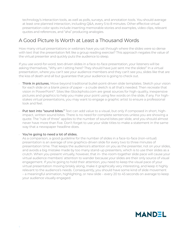<span id="page-6-0"></span>technology's interaction tools, as well as polls, surveys, and annotation tools. You should average at least one planned interaction, including Q&A, every 5 to 8 minutes. Other effective virtual presentation color spots include inserting memorable stories and examples, video clips, relevant quotes and references, and "aha" producing analogies.

#### A Good Picture Is Worth at Least a Thousand Words

How many virtual presentations or webinars have you sat through where the slides were so dense with text that the presentation felt like a group reading exercise? This approach negates the value of the virtual presenter and quickly puts the audience to sleep.

If you use word-for-word, text-driven slides in a face-to-face presentation, your listeners will be asking themselves, "Why am I sitting here? They should have just sent me the slides!" In a virtual presentation, where you can't see your audience members and they can't see you, slides like that are the kiss of death and all but guarantee that your audience is going to check out.

- Think in pictures. Move beyond traditional bullet-point-driven slide templates. Sketch your vision for each slide on a blank piece of paper – a crude sketch is all that's needed. Then recreate that vision in PowerPoint®. Sites like iStockphoto.com are great sources for high-quality, inexpensive pictures and graphics to help you make your point using few words on the slide, if any. For highstakes virtual presentations, you may want to engage a graphic artist to ensure a professional look and feel.
- Put text into "sound bites." Text can add value to a visual, but only if composed in short, highimpact, written sound bites. There is no need for complete sentences unless you are showing a quote. The "rule of three" applies to the number of sound bites per slide, and you should almost never have more than five. Don't forget to use your slide titles to make a statement in the same way that a newspaper headline does.

#### • You're going to need a lot of slides.

As a comparison, a good guideline for the number of slides in a face-to-face (non-virtual) presentation is an average of one graphics-driven slide for every two to three minutes of presentation time. That keeps the audience's attention on you as the presenter, not on your slides, and avoids a big mistake made by too many stand-up presenters, which is to use their slides as a crutch. When you present virtually, however, that in- the-room-together slide pace will cause your virtual audience members' attention to wander because your slides are their only source of visual engagement. If you're going to hold their attention, you need to keep the visual pace of your virtual presentation moving briskly along, make it graphically very interesting, and keep it highly relevant to the audience's needs. Consequently, you should have some kind of slide movement – a meaningful animation, highlighting, or new slide – every 20 to 45 seconds on average to keep your audience visually engaged.

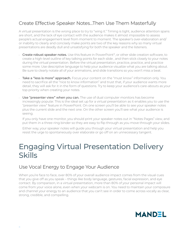### <span id="page-7-0"></span>Create Effective Speaker Notes…Then Use Them Masterfully

A virtual presentation is the wrong place to try to "wing it." Timing is tight, audience attention spans are short, and the lack of eye contact with the audience makes it almost impossible to assess people's actual engagement level from moment to moment. The speaker's over-elaboration and/ or inability to clearly and concisely make points are two of the key reasons why so many virtual presentations are deadly dull and unsatisfying for both the speaker and the listeners.

- Create robust speaker notes. Use this feature in PowerPoint®, or other slide creation software, to create a high-level outline of key talking points for each slide , and then stick closely to your notes during the virtual presentation. Before the virtual presentation, practice, practice, and practice some more. Use descriptive language to help your audience visualize what you are talking about. Be sure to clearly notate all of your animations, and slide transitions so you won't miss a beat.
- Take a "less is more" approach. Focus your content on the "must know" information only. You need to sacrifice all the "nice to know information" and trust that, if your audience wants more detail, they will ask for it in the form of questions. Try to keep your audience's care-abouts as your top priority when creating your notes.
- Use "presenter view" when you can. The use of dual computer monitors has become increasingly popular. This is the ideal set up for a virtual presentation as it enables you to use the "presenter view" feature in PowerPoint. On one screen you'll be able to see your speaker notes plus the current slide and the next one. On the other screen you'll see what your audience is seeing.

If you only have one monitor, you should print your speaker notes out in "Notes Pages" view, and put them in a three-ring binder so they are easy to flip through as you move through your slides.

Either way, your speaker notes will guide you through your virtual presentation and help you resist the urge to spontaneously over elaborate or go off on an unnecessary tangent.

### Engaging Virtual Presentation Delivery Skills

#### Use Vocal Energy to Engage Your Audience

When you're face to face, over 80% of your overall audience impact comes from the visual cues that you give off as you speak – things like body language, gestures, facial expression, and eye contact. By comparison, in a virtual presentation, more than 80% of your personal impact will come from your voice alone, even when your webcam is on. You need to maintain your composure and channel your energy to an audience that you can't see in order to come across vocally as clear, strong, credible, and compelling.

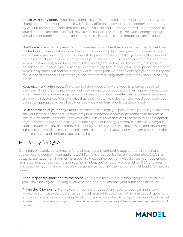- <span id="page-8-0"></span>**Speak with conviction.** If you don't sound like you're interested and having a good time, what chance is there that your audience will feel any different? Let your natural energy come through by varying the volume, tone, and pace of your voice to add authority, interest, and emphasis to your content. Many speakers find they have to consciously amplify their vocal energy during a virtual presentation in order to come across to their audience in an engaging, conversational manner.
- **Don't race.** Many virtual presentation presenters sound like they are in a mad rush to get their content out. These speakers would benefit from slowing down and pausing more. After you emphasize a key point or bring up a new slide, pause to take a breath, give yourself a moment to think, and allow the audience to process your information. The common habit of using nonwords (ums and ahs) and unnecessary filler words (and, so, like, you know, etc.), can make a person sound uncertain and ill at ease when speaking face to face. In a virtual presentation, such words really stand out and sound even worse. These junk words can damage your credibility and make it hard for people to listen to you, so practice replacing them with a new habit – a healthy pause.
- Keep up an engaging pace. Don't race, but don't go so slowly that your listeners can begin to daydream. Think of some really good radio commentators or podcasters; then figure out what pace would keep your audience engaged with you and your content as effectively as those professionals engage their audiences. You will notice that radio professionals also vary their vocal pacing and add pauses as appropriate to help keep their audience members attentive and engaged.
- Be in command of your body. Stand or sit forward in an engaged posture with your weight balanced and your feet flat on the floor. Gestures are just as important in a virtual presentation as they are in face-to-face communications. Gestures (even when your audience can't see them) will add emphasis to your words and provide a healthy outlet for any nervous energy you may experience. While your audience won't see any of this, they will definitely hear it in your voice. Body posture and movement influence both vocal projection and inflection. The more you involve your hands, arms, and body, the more energized and confident your voice will sound.

### Be Ready for Q&A

Don't forget to anticipate, prepare for, and practice answering the questions and objections you're likely to get from your audience. While that's great advice for any presentation, Q&A in a virtual presentation environment is especially tricky, since you can't visually gauge an audience's nonverbal reactions to your responses. Remember, you're not fully prepared for Q&A until you've practiced how you'll handle possible questions – particularly the hard ones – out loud and multiple times.

- Keep responses short and to the point. You'll get a follow-up question if you're too brief, but you'll have no way of knowing if you've over-elaborated and lost your audience's attention.
- Prime the Q&A pump. Have two or three relevant questions ready to suggest and answer yourself just in case your audience is shy and hesitant to speak up. Willingness to ask questions is often a cultural issue. For example, a Dutch audience is likely to jump at the opportunity to ask a question to engage with you, while a Japanese audience might be more reserved as a sign of respect.

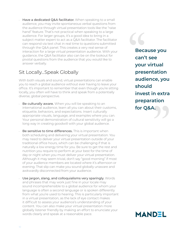<span id="page-9-0"></span>• Have a dedicated Q&A facilitator. When speaking to a small audience, you may invite spontaneous verbal questions from the audience through virtual presentation tools like the "raise hand" feature. That's not practical when speaking to a large audience. For larger groups, it's a good idea to bring in a subject matter expert to act as a Q&A facilitator. The facilitator can respond via text chat in real time to questions submitted through the Q&A panel. This creates a very real sense of interaction for a large virtual presentation audience. With your guidance, the Q&A facilitator also can be on the lookout for pivotal questions from the audience that you would like to answer verbally.

#### Sit Locally…Speak Globally

With both visuals and sound, virtual presentations can enable you to reach a global audience without ever having to leave your office. It's important to remember that even though you're sitting locally, you often will have to think and speak from a potentially diverse, global perspective.

- **Be culturally aware.** When you will be speaking to an international audience, learn all you can about their customs, etiquette, behaviors, and expectations. Insert culturally appropriate visuals, language, and examples where you can. Your personal demonstration of cultural sensitivity will go a long way in creating goodwill with your global audience.
- Be sensitive to time differences. This is important when both scheduling and delivering your virtual presentation. You may need to deliver your virtual presentation outside of your traditional office hours, which can be challenging if that is naturally a low energy time for you. Be sure to get the rest and nutrition you require to perform at your best for the time of day or night when you must deliver your virtual presentation. Although it may seem trivial, don't say "good morning" if most of your audience members are located where it's afternoon or evening. That slip can make you sound globally unaware and awkwardly disconnected from your audience.
- Use jargon, slang, and colloquialisms very sparingly. Words and phrases that may work just fine in your locale may sound incomprehensible to a global audience for whom your language is often a second language or is spoken differently from what you're used to hearing. This is particularly important in a virtual presentation, as the lack of eye contact makes it difficult to assess your audience's understanding of your content. You can also make your virtual presentation more globally listener friendly by making an effort to enunciate your words clearly and speak at a reasonable pace.

**Because you can't see your virtual presentation audience, you should invest in extra preparation for the Should<br>invest in extra<br>preparation<br>for Q&A.** Becan'<br>can'<br>your<br>pres

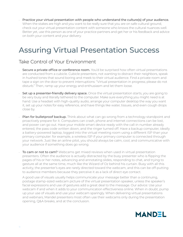<span id="page-10-0"></span>• Practice your virtual presentation with people who understand the culture(s) of your audience. When the stakes are high and you want to be really sure that you are on safe cultural ground, check out your virtual presentation content with someone who knows the cultural nuances well. Better yet, use this person as one of your practice partners and get her or his feedback and advice on both your content and your delivery.

### Assuring Virtual Presentation Success

#### Take Control of Your Environment

- Secure a private office or conference room. You'd be surprised how often virtual presentations are conducted from a cubicle. Cubicle presenters, not wanting to distract their neighbors, speak in hushed tones that sound boring and meek to their virtual audience. Find a private room and tape a sign on the door to prevent interruptions: "Virtual presentation in progress; please do not disturb." Then, ramp up your energy and enthusiasm and let them loose.
- $\cdot$  Set up a presenter-friendly delivery space. Once the virtual presentation starts, you are going to be very busy and literally tethered to the computer. Make sure everything you might need is at hand. Use a headset with high-quality audio, arrange your computer desktop the way you want it, set up your notes for easy reference, and have things like water, tissues, and even cough drops close by.
- Plan for bulletproof backup. Think about what can go wrong from a technology standpoint and proactively prepare for it. Computers can crash, phone and internet connections can be lost, and power can go out. Have your mobile smart device ready with the call-in number already entered, the pass code written down, and the ringer turned off. Have a backup computer, ideally a battery-powered laptop, logged into the virtual meeting room using a different ISP than your primary computer: for example, a wireless ISP if your primary computer is connected through your network. Just like an airline pilot, you should always be calm, cool, and communicative with your audience if something does go wrong.
- To cam or not to cam? Webcams get mixed reviews when used in virtual presentation presenters. Often the audience is actually distracted by the busy presenter who is flipping the pages of his or her notes, advancing and annotating slides, responding to chat, and trying to gesture all at the same time, much like the Wizard of Oz behind his curtain. Busy with all this activity, the presenter's eyes are rarely directed toward the webcam, and this can be off-putting to audience members because they perceive it as a lack of direct eye contact.

A good use of visuals usually helps communicate your message better than a continuing, postage stamp-sized webcam picture of the virtual presentation speaker, unless the speaker's facial expressions and use of gestures add a great deal to the message. Our advice: Use your webcam if and when it adds to your communication effectiveness online. When in doubt, pump up your use of visuals and use your webcam sparingly. When delivering virtual presentations and webinars, Mandel presenters most often use their webcams only during the presentation opening, Q&A breaks, and at the conclusion.

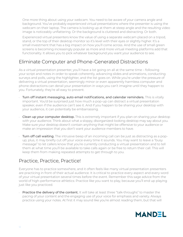<span id="page-11-0"></span>One more thing about using your webcam. You need to be aware of your camera angle and background. You've probably experienced virtual presentations where the presenter is using the webcam on their laptop. The camera is looking up at them at steep angle and the resulting video image is noticeably unflattering. Or the background is cluttered and distracting. Or both.

Experienced virtual presenters know the value of using a separate webcam placed on a tripod, stand, or the top of their desktop monitor so it's level with their eyes or slightly higher. It's a small investment that has a big impact on how you'll come across. And the use of small green screens is becoming increasingly popular as more and more virtual meeting platforms add that functionality. It allows you to pick whatever background you want your audience to see.

### Eliminate Computer and Phone-Generated Distractions

As a virtual presentation presenter, you'll have a lot going on all at the same time – following your script and notes in order to speak coherently, advancing slides and animations, conducting surveys and polls, using the highlighter, and the list goes on. While you're under the pressure of delivering a virtual presentation, seemingly minor or even apparently harmless computer and phone distractions can derail your presentation in ways you can't imagine until they happen to you. Fortunately, they're all easy to prevent.

- Turn off instant messaging, auto email notifications, and calendar reminders. This is vitally important. You'd be surprised just how much a pop-up can distract a virtual presentation speaker, even if the audience can't see it. And if you happen to be sharing your desktop with your audience, it can potentially be embarrassing.
- Clean up your computer desktop. This is extremely important if you plan on sharing your desktop with your audience. Think about what a sloppy, disorganized-looking desktop may say about you. Make sure your desktop doesn't contain anything that might be offensive to your audience or make an impression that you don't want your audience members to have.
- **Turn off call waiting.** The intrusive beep of an incoming call can be just as distracting as a popup; plus, it may briefly cut off your voice every time it sounds. You may want to leave a "busy message" to let callers know that you're currently conducting a virtual presentation and to tell them at what time you'll be available to take calls again or be free to return their call. This will keep them from making repeated attempts to get through to you.

### Practice, Practice, Practice!

Everyone has to practice somewhere, and it often feels like many virtual presentation presenters are practicing in front of their actual audience. It is critical to practice every aspect and every word of your virtual presentation several times before the event. Remember this sage advice from the world of high-performance athletics: Practice like you want to play, because you'll end up playing just like you practiced.

**Practice the delivery of the content.** It will take at least three "talk-throughs" to master the pacing of your content and the engaging use of your voice for emphasis and variety. Always practice using your notes. At first it may sound like you're almost reading them, but that will

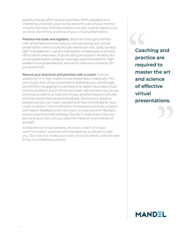<span id="page-12-0"></span>quickly change after several practices. With repeated and improving practices, your words become part of your mental muscle memory. Practice sessions are also a great opportunity to check the timing and flow of your virtual presentation.

- Practice the tools and logistics. Become thoroughly familiar with all the features and tools you will use during your virtual presentation, which could include interaction tool , polls, surveys, Q&A management, use of a highlighter, whiteboards, and handoffs to other presenters. If you're using the support services of a virtual presentation producer (strongly recommended for highstakes virtual presentations), be sure to have your producer join you at practice.
- Record your practices and practice with a coach. If you're preparing for a high-stakes virtual presentation, especially if it's one of your first virtual presentation deliveries, you will strongly benefit from engaging the services of an expert business virtualcommunications coach. At the very least, ask someone you know and trust to attend at least one of your practice sessions virtually and then solicit that person's feedback. Record your practice sessions so you can coach yourself and have recordings for your coach to review. The combination of recorded practices, coupled with expert feedback and instruction, is a key piece of Mandel's proven coaching methodology. You don't really know how you are coming across until you become a listener and a viewer of yourself.

At Mandel Communications, we have a team of virtual communication coaches who are expertly qualified to help you. Our role is to make your every practice better, until the real thing is a smashing success!

**Coaching and practice are required to master the art and science of effective virtual presentations.** re<br>:ions.<br>}} Coase<br>
prac<br>
requ<br>
mas

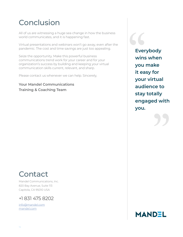### <span id="page-13-0"></span>Conclusion

All of us are witnessing a huge sea change in how the business world communicates, and it is happening fast.

Virtual presentations and webinars won't go away, even after the pandemic. The cost and time savings are just too appealing.

Seize the opportunity. Make this powerful business communications trend work for your career and for your organization's success by building and keeping your virtual communication skills current, relevant, and sharp.

Please contact us whenever we can help. Sincerely,

**Your Mandel Communications Training & Coaching Team**

**Everybody wins when you make it easy for your virtual audience to stay totally engaged with you.** any<br>d with<br>DD Ever<br>
wins<br>
you<br>
it ea

### Contact

Mandel Communications, Inc. 820 Bay Avenue, Suite 113 Capitola, CA 95010 USA

#### +1 831 475 8202

[info@mandel.com](mailto:info%40mandel.com?subject=) [mandel.com](http://www.mandel.com)